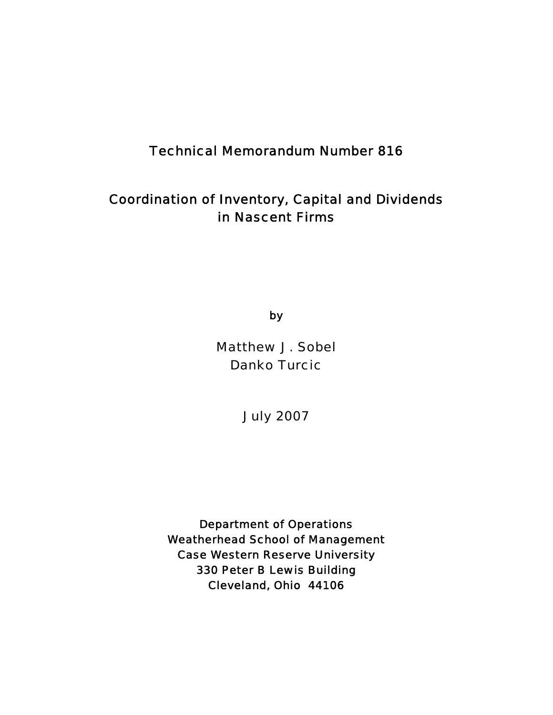### Technical Memorandum Number 816

# Coordination of Inventory, Capital and Dividends in Nascent Firms

by

Matthew J. Sobel Danko Turcic

July 2007

Department of Operations Weatherhead School of Management Case Western Reserve University 330 Peter B Lewis Building Cleveland, Ohio 44106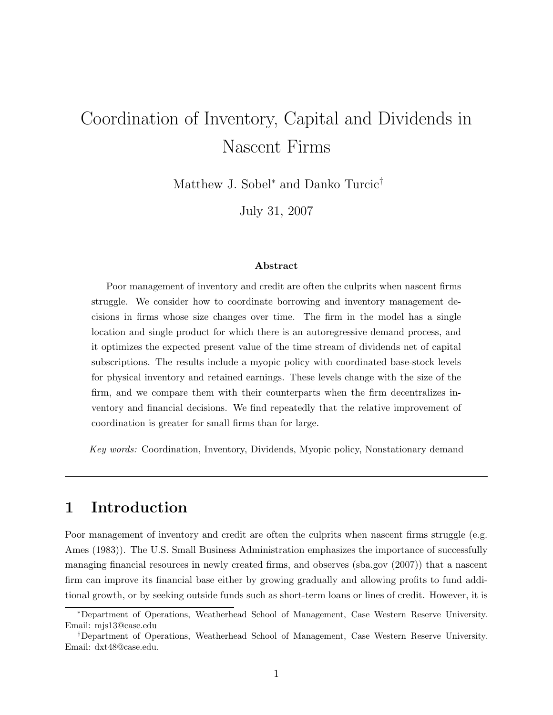# Coordination of Inventory, Capital and Dividends in Nascent Firms

Matthew J. Sobel<sup>∗</sup> and Danko Turcic†

July 31, 2007

#### Abstract

Poor management of inventory and credit are often the culprits when nascent firms struggle. We consider how to coordinate borrowing and inventory management decisions in firms whose size changes over time. The firm in the model has a single location and single product for which there is an autoregressive demand process, and it optimizes the expected present value of the time stream of dividends net of capital subscriptions. The results include a myopic policy with coordinated base-stock levels for physical inventory and retained earnings. These levels change with the size of the firm, and we compare them with their counterparts when the firm decentralizes inventory and financial decisions. We find repeatedly that the relative improvement of coordination is greater for small firms than for large.

Key words: Coordination, Inventory, Dividends, Myopic policy, Nonstationary demand

# 1 Introduction

Poor management of inventory and credit are often the culprits when nascent firms struggle (e.g. Ames (1983)). The U.S. Small Business Administration emphasizes the importance of successfully managing financial resources in newly created firms, and observes (sba.gov (2007)) that a nascent firm can improve its financial base either by growing gradually and allowing profits to fund additional growth, or by seeking outside funds such as short-term loans or lines of credit. However, it is

<sup>∗</sup>Department of Operations, Weatherhead School of Management, Case Western Reserve University. Email: mjs13@case.edu

<sup>†</sup>Department of Operations, Weatherhead School of Management, Case Western Reserve University. Email: dxt48@case.edu.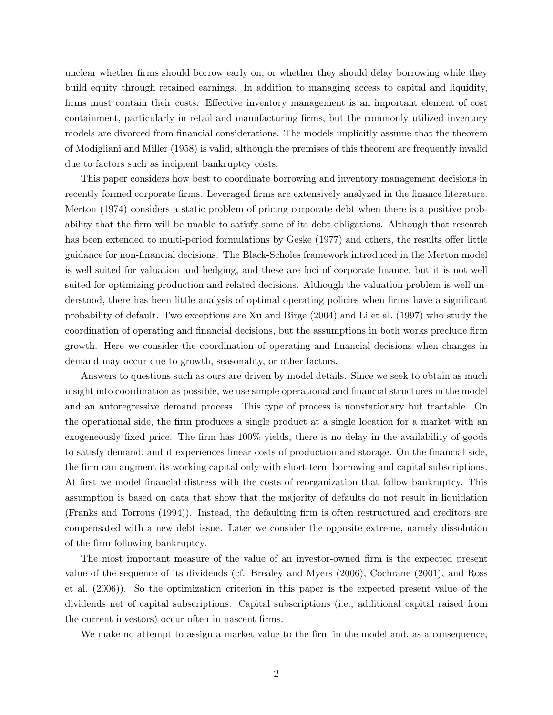unclear whether firms should borrow early on, or whether they should delay borrowing while they build equity through retained earnings. In addition to managing access to capital and liquidity, firms must contain their costs. Effective inventory management is an important element of cost containment, particularly in retail and manufacturing firms, but the commonly utilized inventory models are divorced from financial considerations. The models implicitly assume that the theorem of Modigliani and Miller (1958) is valid, although the premises of this theorem are frequently invalid due to factors such as incipient bankruptcy costs.

This paper considers how best to coordinate borrowing and inventory management decisions in recently formed corporate firms. Leveraged firms are extensively analyzed in the finance literature. Merton (1974) considers a static problem of pricing corporate debt when there is a positive probability that the firm will be unable to satisfy some of its debt obligations. Although that research has been extended to multi-period formulations by Geske (1977) and others, the results offer little guidance for non-financial decisions. The Black-Scholes framework introduced in the Merton model is well suited for valuation and hedging, and these are foci of corporate finance, but it is not well suited for optimizing production and related decisions. Although the valuation problem is well understood, there has been little analysis of optimal operating policies when firms have a significant probability of default. Two exceptions are Xu and Birge (2004) and Li et al. (1997) who study the coordination of operating and financial decisions, but the assumptions in both works preclude firm growth. Here we consider the coordination of operating and financial decisions when changes in demand may occur due to growth, seasonality, or other factors.

Answers to questions such as ours are driven by model details. Since we seek to obtain as much insight into coordination as possible, we use simple operational and financial structures in the model and an autoregressive demand process. This type of process is nonstationary but tractable. On the operational side, the firm produces a single product at a single location for a market with an exogeneously fixed price. The firm has 100% yields, there is no delay in the availability of goods to satisfy demand, and it experiences linear costs of production and storage. On the financial side, the firm can augment its working capital only with short-term borrowing and capital subscriptions. At first we model financial distress with the costs of reorganization that follow bankruptcy. This assumption is based on data that show that the majority of defaults do not result in liquidation (Franks and Torrous (1994)). Instead, the defaulting firm is often restructured and creditors are compensated with a new debt issue. Later we consider the opposite extreme, namely dissolution of the firm following bankruptcy.

The most important measure of the value of an investor-owned firm is the expected present value of the sequence of its dividends (cf. Brealey and Myers (2006), Cochrane (2001), and Ross et al. (2006)). So the optimization criterion in this paper is the expected present value of the dividends net of capital subscriptions. Capital subscriptions (i.e., additional capital raised from the current investors) occur often in nascent firms.

We make no attempt to assign a market value to the firm in the model and, as a consequence,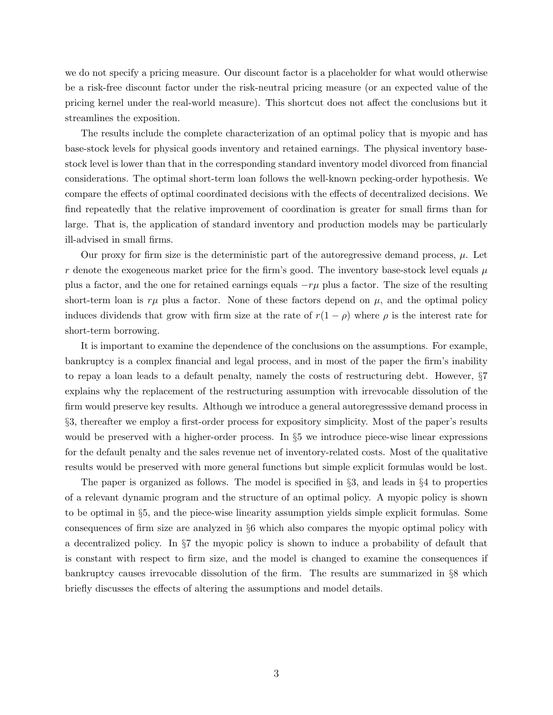we do not specify a pricing measure. Our discount factor is a placeholder for what would otherwise be a risk-free discount factor under the risk-neutral pricing measure (or an expected value of the pricing kernel under the real-world measure). This shortcut does not affect the conclusions but it streamlines the exposition.

The results include the complete characterization of an optimal policy that is myopic and has base-stock levels for physical goods inventory and retained earnings. The physical inventory basestock level is lower than that in the corresponding standard inventory model divorced from financial considerations. The optimal short-term loan follows the well-known pecking-order hypothesis. We compare the effects of optimal coordinated decisions with the effects of decentralized decisions. We find repeatedly that the relative improvement of coordination is greater for small firms than for large. That is, the application of standard inventory and production models may be particularly ill-advised in small firms.

Our proxy for firm size is the deterministic part of the autoregressive demand process,  $\mu$ . Let r denote the exogeneous market price for the firm's good. The inventory base-stock level equals  $\mu$ plus a factor, and the one for retained earnings equals  $-r\mu$  plus a factor. The size of the resulting short-term loan is  $r\mu$  plus a factor. None of these factors depend on  $\mu$ , and the optimal policy induces dividends that grow with firm size at the rate of  $r(1 - \rho)$  where  $\rho$  is the interest rate for short-term borrowing.

It is important to examine the dependence of the conclusions on the assumptions. For example, bankruptcy is a complex financial and legal process, and in most of the paper the firm's inability to repay a loan leads to a default penalty, namely the costs of restructuring debt. However, §7 explains why the replacement of the restructuring assumption with irrevocable dissolution of the firm would preserve key results. Although we introduce a general autoregresssive demand process in §3, thereafter we employ a first-order process for expository simplicity. Most of the paper's results would be preserved with a higher-order process. In §5 we introduce piece-wise linear expressions for the default penalty and the sales revenue net of inventory-related costs. Most of the qualitative results would be preserved with more general functions but simple explicit formulas would be lost.

The paper is organized as follows. The model is specified in §3, and leads in §4 to properties of a relevant dynamic program and the structure of an optimal policy. A myopic policy is shown to be optimal in §5, and the piece-wise linearity assumption yields simple explicit formulas. Some consequences of firm size are analyzed in §6 which also compares the myopic optimal policy with a decentralized policy. In §7 the myopic policy is shown to induce a probability of default that is constant with respect to firm size, and the model is changed to examine the consequences if bankruptcy causes irrevocable dissolution of the firm. The results are summarized in §8 which briefly discusses the effects of altering the assumptions and model details.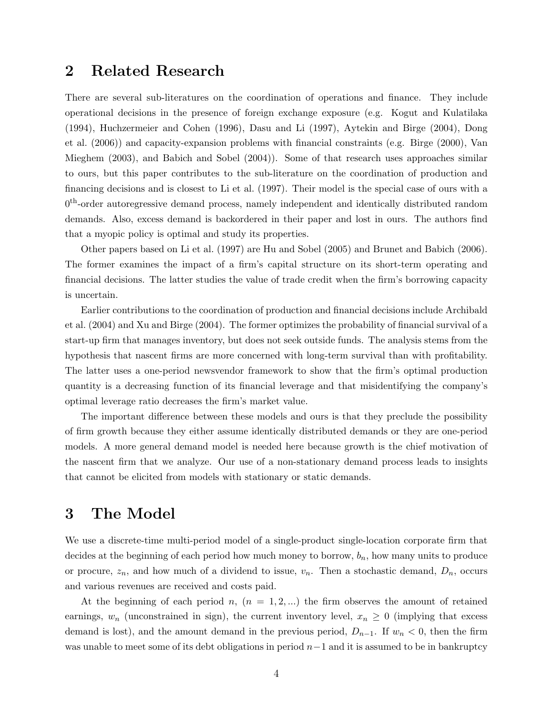### 2 Related Research

There are several sub-literatures on the coordination of operations and finance. They include operational decisions in the presence of foreign exchange exposure (e.g. Kogut and Kulatilaka (1994), Huchzermeier and Cohen (1996), Dasu and Li (1997), Aytekin and Birge (2004), Dong et al. (2006)) and capacity-expansion problems with financial constraints (e.g. Birge (2000), Van Mieghem (2003), and Babich and Sobel (2004)). Some of that research uses approaches similar to ours, but this paper contributes to the sub-literature on the coordination of production and financing decisions and is closest to Li et al. (1997). Their model is the special case of ours with a 0<sup>th</sup>-order autoregressive demand process, namely independent and identically distributed random demands. Also, excess demand is backordered in their paper and lost in ours. The authors find that a myopic policy is optimal and study its properties.

Other papers based on Li et al. (1997) are Hu and Sobel (2005) and Brunet and Babich (2006). The former examines the impact of a firm's capital structure on its short-term operating and financial decisions. The latter studies the value of trade credit when the firm's borrowing capacity is uncertain.

Earlier contributions to the coordination of production and financial decisions include Archibald et al. (2004) and Xu and Birge (2004). The former optimizes the probability of financial survival of a start-up firm that manages inventory, but does not seek outside funds. The analysis stems from the hypothesis that nascent firms are more concerned with long-term survival than with profitability. The latter uses a one-period newsvendor framework to show that the firm's optimal production quantity is a decreasing function of its financial leverage and that misidentifying the company's optimal leverage ratio decreases the firm's market value.

The important difference between these models and ours is that they preclude the possibility of firm growth because they either assume identically distributed demands or they are one-period models. A more general demand model is needed here because growth is the chief motivation of the nascent firm that we analyze. Our use of a non-stationary demand process leads to insights that cannot be elicited from models with stationary or static demands.

### 3 The Model

We use a discrete-time multi-period model of a single-product single-location corporate firm that decides at the beginning of each period how much money to borrow,  $b_n$ , how many units to produce or procure,  $z_n$ , and how much of a dividend to issue,  $v_n$ . Then a stochastic demand,  $D_n$ , occurs and various revenues are received and costs paid.

At the beginning of each period n,  $(n = 1, 2, ...)$  the firm observes the amount of retained earnings,  $w_n$  (unconstrained in sign), the current inventory level,  $x_n \geq 0$  (implying that excess demand is lost), and the amount demand in the previous period,  $D_{n-1}$ . If  $w_n < 0$ , then the firm was unable to meet some of its debt obligations in period  $n-1$  and it is assumed to be in bankruptcy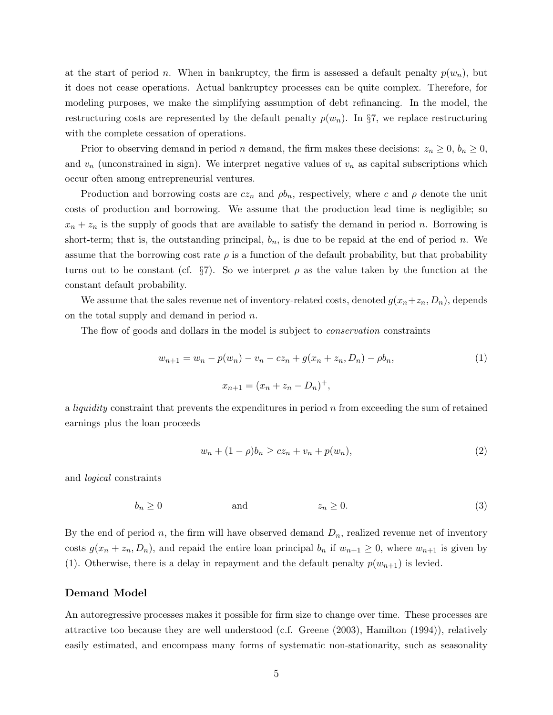at the start of period n. When in bankruptcy, the firm is assessed a default penalty  $p(w_n)$ , but it does not cease operations. Actual bankruptcy processes can be quite complex. Therefore, for modeling purposes, we make the simplifying assumption of debt refinancing. In the model, the restructuring costs are represented by the default penalty  $p(w_n)$ . In §7, we replace restructuring with the complete cessation of operations.

Prior to observing demand in period n demand, the firm makes these decisions:  $z_n \geq 0$ ,  $b_n \geq 0$ , and  $v_n$  (unconstrained in sign). We interpret negative values of  $v_n$  as capital subscriptions which occur often among entrepreneurial ventures.

Production and borrowing costs are  $cz_n$  and  $\rho b_n$ , respectively, where c and  $\rho$  denote the unit costs of production and borrowing. We assume that the production lead time is negligible; so  $x_n + z_n$  is the supply of goods that are available to satisfy the demand in period n. Borrowing is short-term; that is, the outstanding principal,  $b_n$ , is due to be repaid at the end of period n. We assume that the borrowing cost rate  $\rho$  is a function of the default probability, but that probability turns out to be constant (cf.  $\S7$ ). So we interpret  $\rho$  as the value taken by the function at the constant default probability.

We assume that the sales revenue net of inventory-related costs, denoted  $g(x_n+z_n, D_n)$ , depends on the total supply and demand in period  $n$ .

The flow of goods and dollars in the model is subject to *conservation* constraints

$$
w_{n+1} = w_n - p(w_n) - v_n - cz_n + g(x_n + z_n, D_n) - \rho b_n,
$$
  
\n
$$
x_{n+1} = (x_n + z_n - D_n)^+,
$$
\n(1)

a *liquidity* constraint that prevents the expenditures in period  $n$  from exceeding the sum of retained earnings plus the loan proceeds

$$
w_n + (1 - \rho)b_n \ge cz_n + v_n + p(w_n),
$$
\n(2)

and logical constraints

$$
b_n \ge 0 \qquad \text{and} \qquad \qquad z_n \ge 0. \tag{3}
$$

By the end of period n, the firm will have observed demand  $D_n$ , realized revenue net of inventory costs  $g(x_n + z_n, D_n)$ , and repaid the entire loan principal  $b_n$  if  $w_{n+1} \geq 0$ , where  $w_{n+1}$  is given by (1). Otherwise, there is a delay in repayment and the default penalty  $p(w_{n+1})$  is levied.

#### Demand Model

An autoregressive processes makes it possible for firm size to change over time. These processes are attractive too because they are well understood (c.f. Greene (2003), Hamilton (1994)), relatively easily estimated, and encompass many forms of systematic non-stationarity, such as seasonality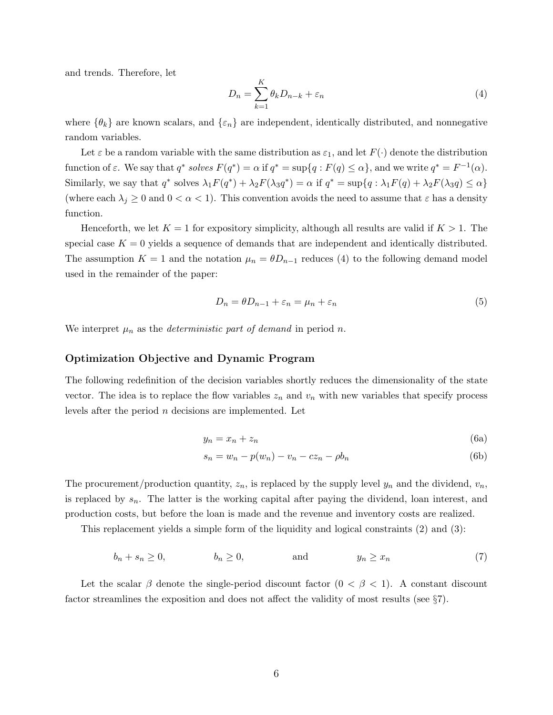and trends. Therefore, let

$$
D_n = \sum_{k=1}^{K} \theta_k D_{n-k} + \varepsilon_n \tag{4}
$$

where  $\{\theta_k\}$  are known scalars, and  $\{\varepsilon_n\}$  are independent, identically distributed, and nonnegative random variables.

Let  $\varepsilon$  be a random variable with the same distribution as  $\varepsilon_1$ , and let  $F(\cdot)$  denote the distribution function of  $\varepsilon$ . We say that  $q^*$  solves  $F(q^*) = \alpha$  if  $q^* = \sup\{q : F(q) \leq \alpha\}$ , and we write  $q^* = F^{-1}(\alpha)$ . Similarly, we say that  $q^*$  solves  $\lambda_1 F(q^*) + \lambda_2 F(\lambda_3 q^*) = \alpha$  if  $q^* = \sup\{q : \lambda_1 F(q) + \lambda_2 F(\lambda_3 q) \leq \alpha\}$ (where each  $\lambda_j \geq 0$  and  $0 < \alpha < 1$ ). This convention avoids the need to assume that  $\varepsilon$  has a density function.

Henceforth, we let  $K = 1$  for expository simplicity, although all results are valid if  $K > 1$ . The special case  $K = 0$  yields a sequence of demands that are independent and identically distributed. The assumption  $K = 1$  and the notation  $\mu_n = \theta D_{n-1}$  reduces (4) to the following demand model used in the remainder of the paper:

$$
D_n = \theta D_{n-1} + \varepsilon_n = \mu_n + \varepsilon_n \tag{5}
$$

We interpret  $\mu_n$  as the *deterministic part of demand* in period *n*.

#### Optimization Objective and Dynamic Program

The following redefinition of the decision variables shortly reduces the dimensionality of the state vector. The idea is to replace the flow variables  $z_n$  and  $v_n$  with new variables that specify process levels after the period  $n$  decisions are implemented. Let

$$
y_n = x_n + z_n \tag{6a}
$$

$$
s_n = w_n - p(w_n) - v_n - cz_n - \rho b_n \tag{6b}
$$

The procurement/production quantity,  $z_n$ , is replaced by the supply level  $y_n$  and the dividend,  $v_n$ , is replaced by  $s_n$ . The latter is the working capital after paying the dividend, loan interest, and production costs, but before the loan is made and the revenue and inventory costs are realized.

This replacement yields a simple form of the liquidity and logical constraints (2) and (3):

$$
b_n + s_n \ge 0, \qquad b_n \ge 0, \qquad \text{and} \qquad y_n \ge x_n \tag{7}
$$

Let the scalar  $\beta$  denote the single-period discount factor  $(0 \leq \beta \leq 1)$ . A constant discount factor streamlines the exposition and does not affect the validity of most results (see §7).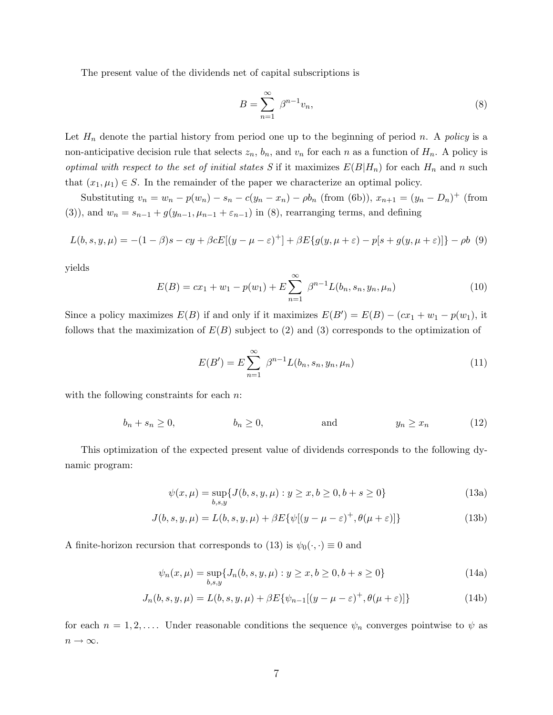The present value of the dividends net of capital subscriptions is

$$
B = \sum_{n=1}^{\infty} \beta^{n-1} v_n,
$$
\n(8)

Let  $H_n$  denote the partial history from period one up to the beginning of period n. A policy is a non-anticipative decision rule that selects  $z_n$ ,  $b_n$ , and  $v_n$  for each n as a function of  $H_n$ . A policy is optimal with respect to the set of initial states S if it maximizes  $E(B|H_n)$  for each  $H_n$  and n such that  $(x_1, \mu_1) \in S$ . In the remainder of the paper we characterize an optimal policy.

Substituting  $v_n = w_n - p(w_n) - s_n - c(y_n - x_n) - \rho b_n$  (from (6b)),  $x_{n+1} = (y_n - D_n)^+$  (from (3)), and  $w_n = s_{n-1} + g(y_{n-1}, \mu_{n-1} + \varepsilon_{n-1})$  in (8), rearranging terms, and defining

$$
L(b, s, y, \mu) = -(1 - \beta)s - cy + \beta c E[(y - \mu - \varepsilon)^+] + \beta E\{g(y, \mu + \varepsilon) - p[s + g(y, \mu + \varepsilon)]\} - \rho b
$$
 (9)

yields

$$
E(B) = cx_1 + w_1 - p(w_1) + E \sum_{n=1}^{\infty} \beta^{n-1} L(b_n, s_n, y_n, \mu_n)
$$
 (10)

Since a policy maximizes  $E(B)$  if and only if it maximizes  $E(B') = E(B) - (cx_1 + w_1 - p(w_1))$ , it follows that the maximization of  $E(B)$  subject to (2) and (3) corresponds to the optimization of

$$
E(B') = E \sum_{n=1}^{\infty} \beta^{n-1} L(b_n, s_n, y_n, \mu_n)
$$
 (11)

with the following constraints for each *n*:

$$
b_n + s_n \ge 0, \qquad b_n \ge 0, \qquad \text{and} \qquad y_n \ge x_n \qquad (12)
$$

This optimization of the expected present value of dividends corresponds to the following dynamic program:

$$
\psi(x,\mu) = \sup_{b,s,y} \{ J(b,s,y,\mu) : y \ge x, b \ge 0, b+s \ge 0 \}
$$
\n(13a)

$$
J(b, s, y, \mu) = L(b, s, y, \mu) + \beta E\{\psi[(y - \mu - \varepsilon)^+, \theta(\mu + \varepsilon)]\}
$$
(13b)

A finite-horizon recursion that corresponds to (13) is  $\psi_0(\cdot, \cdot) \equiv 0$  and

$$
\psi_n(x,\mu) = \sup_{b,s,y} \{ J_n(b,s,y,\mu) : y \ge x, b \ge 0, b+s \ge 0 \}
$$
\n(14a)

$$
J_n(b, s, y, \mu) = L(b, s, y, \mu) + \beta E\{\psi_{n-1}[(y - \mu - \varepsilon)^+, \theta(\mu + \varepsilon)]\}
$$
(14b)

for each  $n = 1, 2, \ldots$  Under reasonable conditions the sequence  $\psi_n$  converges pointwise to  $\psi$  as  $n\to\infty.$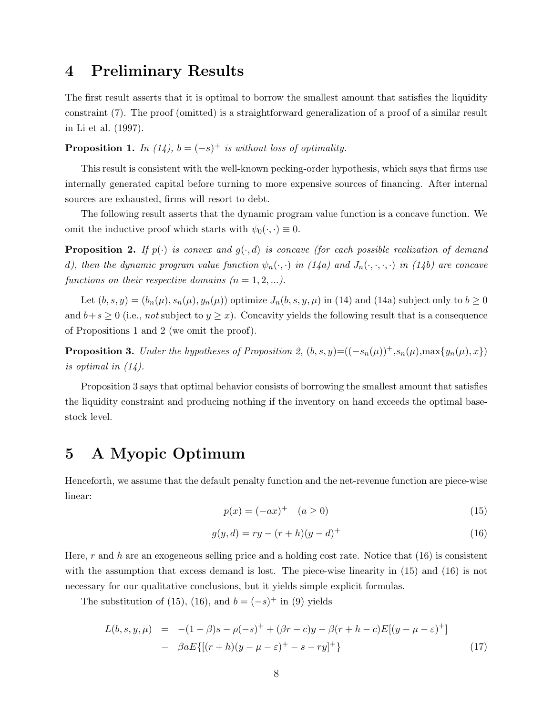### 4 Preliminary Results

The first result asserts that it is optimal to borrow the smallest amount that satisfies the liquidity constraint (7). The proof (omitted) is a straightforward generalization of a proof of a similar result in Li et al. (1997).

**Proposition 1.** In (14),  $b = (-s)^+$  is without loss of optimality.

This result is consistent with the well-known pecking-order hypothesis, which says that firms use internally generated capital before turning to more expensive sources of financing. After internal sources are exhausted, firms will resort to debt.

The following result asserts that the dynamic program value function is a concave function. We omit the inductive proof which starts with  $\psi_0(\cdot, \cdot) \equiv 0$ .

**Proposition 2.** If  $p(\cdot)$  is convex and  $q(\cdot, d)$  is concave (for each possible realization of demand d), then the dynamic program value function  $\psi_n(\cdot, \cdot)$  in (14a) and  $J_n(\cdot, \cdot, \cdot, \cdot)$  in (14b) are concave functions on their respective domains  $(n = 1, 2, \ldots).$ 

Let  $(b, s, y) = (b_n(\mu), s_n(\mu), y_n(\mu))$  optimize  $J_n(b, s, y, \mu)$  in (14) and (14a) subject only to  $b \ge 0$ and  $b+s \geq 0$  (i.e., not subject to  $y \geq x$ ). Concavity yields the following result that is a consequence of Propositions 1 and 2 (we omit the proof).

**Proposition 3.** Under the hypotheses of Proposition 2,  $(b, s, y) = ((-s_n(\mu))^\dagger, s_n(\mu), \max\{y_n(\mu), x\})$ is optimal in (14).

Proposition 3 says that optimal behavior consists of borrowing the smallest amount that satisfies the liquidity constraint and producing nothing if the inventory on hand exceeds the optimal basestock level.

# 5 A Myopic Optimum

Henceforth, we assume that the default penalty function and the net-revenue function are piece-wise linear:

$$
p(x) = (-ax)^{+} \quad (a \ge 0)
$$
\n(15)

$$
g(y,d) = ry - (r+h)(y-d)^{+}
$$
\n(16)

Here, r and h are an exogeneous selling price and a holding cost rate. Notice that  $(16)$  is consistent with the assumption that excess demand is lost. The piece-wise linearity in  $(15)$  and  $(16)$  is not necessary for our qualitative conclusions, but it yields simple explicit formulas.

The substitution of (15), (16), and  $b = (-s)^{+}$  in (9) yields

$$
L(b, s, y, \mu) = -(1 - \beta)s - \rho(-s)^{+} + (\beta r - c)y - \beta(r + h - c)E[(y - \mu - \varepsilon)^{+}]
$$
  
- 
$$
\beta aE\{[(r + h)(y - \mu - \varepsilon)^{+} - s - ry]^{+}\}
$$
(17)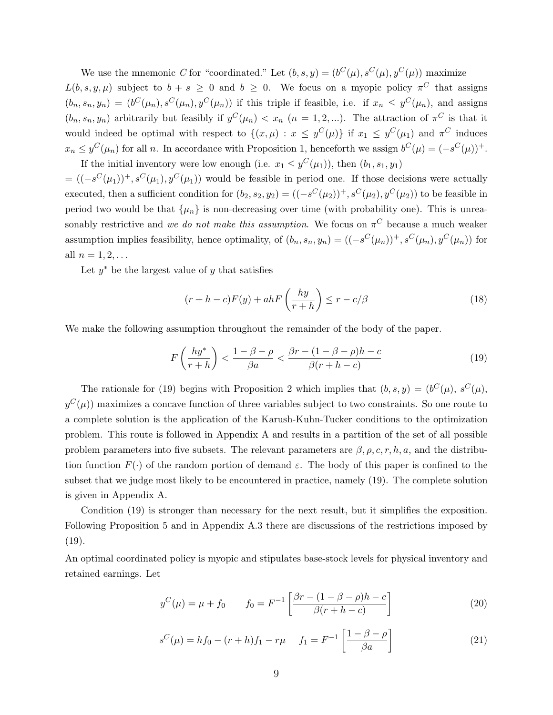We use the mnemonic C for "coordinated." Let  $(b, s, y) = (b^C(\mu), s^C(\mu), y^C(\mu))$  maximize

 $L(b, s, y, \mu)$  subject to  $b + s \geq 0$  and  $b \geq 0$ . We focus on a myopic policy  $\pi^C$  that assigns  $(b_n, s_n, y_n) = (b^C(\mu_n), s^C(\mu_n), y^C(\mu_n))$  if this triple if feasible, i.e. if  $x_n \leq y^C(\mu_n)$ , and assigns  $(b_n, s_n, y_n)$  arbitrarily but feasibly if  $y^C(\mu_n) < x_n$   $(n = 1, 2, ...)$ . The attraction of  $\pi^C$  is that it would indeed be optimal with respect to  $\{(x,\mu): x \leq y^C(\mu)\}\$ if  $x_1 \leq y^C(\mu_1)$  and  $\pi^C$  induces  $x_n \leq y^C(\mu_n)$  for all n. In accordance with Proposition 1, henceforth we assign  $b^C(\mu) = (-s^C(\mu))^+$ . If the initial inventory were low enough (i.e.  $x_1 \leq y^C(\mu_1)$ ), then  $(b_1, s_1, y_1)$ 

 $= ((-s^{C}(\mu_1))^{+}, s^{C}(\mu_1), y^{C}(\mu_1))$  would be feasible in period one. If those decisions were actually executed, then a sufficient condition for  $(b_2, s_2, y_2) = ((-s^C(\mu_2))^+, s^C(\mu_2), y^C(\mu_2))$  to be feasible in period two would be that  $\{\mu_n\}$  is non-decreasing over time (with probability one). This is unreasonably restrictive and we do not make this assumption. We focus on  $\pi^C$  because a much weaker assumption implies feasibility, hence optimality, of  $(b_n, s_n, y_n) = ((-s^C(\mu_n))^+, s^C(\mu_n), y^C(\mu_n))$  for all  $n = 1, 2, ...$ 

Let  $y^*$  be the largest value of y that satisfies

$$
(r+h-c)F(y) + ahF\left(\frac{hy}{r+h}\right) \le r - c/\beta \tag{18}
$$

We make the following assumption throughout the remainder of the body of the paper.

$$
F\left(\frac{hy^*}{r+h}\right) < \frac{1-\beta-\rho}{\beta a} < \frac{\beta r - (1-\beta-\rho)h - c}{\beta(r+h-c)}\tag{19}
$$

The rationale for (19) begins with Proposition 2 which implies that  $(b, s, y) = (b^C(\mu), s^C(\mu))$ ,  $y^C(\mu)$  maximizes a concave function of three variables subject to two constraints. So one route to a complete solution is the application of the Karush-Kuhn-Tucker conditions to the optimization problem. This route is followed in Appendix A and results in a partition of the set of all possible problem parameters into five subsets. The relevant parameters are  $\beta$ ,  $\rho$ ,  $c$ ,  $r$ ,  $h$ ,  $a$ , and the distribution function  $F(\cdot)$  of the random portion of demand  $\varepsilon$ . The body of this paper is confined to the subset that we judge most likely to be encountered in practice, namely (19). The complete solution is given in Appendix A.

Condition (19) is stronger than necessary for the next result, but it simplifies the exposition. Following Proposition 5 and in Appendix A.3 there are discussions of the restrictions imposed by  $(19).$ 

An optimal coordinated policy is myopic and stipulates base-stock levels for physical inventory and retained earnings. Let

$$
y^{C}(\mu) = \mu + f_0 \qquad f_0 = F^{-1} \left[ \frac{\beta r - (1 - \beta - \rho)h - c}{\beta (r + h - c)} \right]
$$
 (20)

$$
s^{C}(\mu) = hf_0 - (r+h)f_1 - r\mu \qquad f_1 = F^{-1} \left[ \frac{1 - \beta - \rho}{\beta a} \right]
$$
 (21)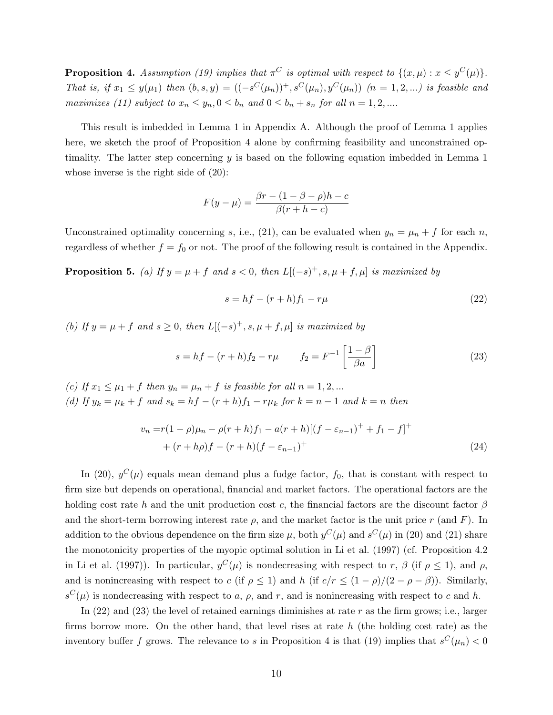**Proposition 4.** Assumption (19) implies that  $\pi^C$  is optimal with respect to  $\{(x,\mu): x \leq y^C(\mu)\}.$ That is, if  $x_1 \leq y(\mu_1)$  then  $(b, s, y) = ((-s^C(\mu_n))^+, s^C(\mu_n), y^C(\mu_n))$   $(n = 1, 2, ...)$  is feasible and maximizes (11) subject to  $x_n \leq y_n, 0 \leq b_n$  and  $0 \leq b_n + s_n$  for all  $n = 1, 2, ...$ 

This result is imbedded in Lemma 1 in Appendix A. Although the proof of Lemma 1 applies here, we sketch the proof of Proposition 4 alone by confirming feasibility and unconstrained optimality. The latter step concerning  $y$  is based on the following equation imbedded in Lemma 1 whose inverse is the right side of (20):

$$
F(y - \mu) = \frac{\beta r - (1 - \beta - \rho)h - c}{\beta(r + h - c)}
$$

Unconstrained optimality concerning s, i.e., (21), can be evaluated when  $y_n = \mu_n + f$  for each n, regardless of whether  $f = f_0$  or not. The proof of the following result is contained in the Appendix.

**Proposition 5.** (a) If  $y = \mu + f$  and  $s < 0$ , then  $L[(-s)^{+}, s, \mu + f, \mu]$  is maximized by

$$
s = hf - (r+h)f_1 - r\mu \tag{22}
$$

(b) If  $y = \mu + f$  and  $s \geq 0$ , then  $L[(-s)^{+}, s, \mu + f, \mu]$  is maximized by

$$
s = hf - (r+h)f_2 - r\mu \qquad f_2 = F^{-1}\left[\frac{1-\beta}{\beta a}\right]
$$
\n(23)

(c) If  $x_1 \leq \mu_1 + f$  then  $y_n = \mu_n + f$  is feasible for all  $n = 1, 2, ...$ (d) If  $y_k = \mu_k + f$  and  $s_k = hf - (r + h)f_1 - r\mu_k$  for  $k = n - 1$  and  $k = n$  then

$$
v_n = r(1 - \rho)\mu_n - \rho(r + h)f_1 - a(r + h)[(f - \varepsilon_{n-1})^+ + f_1 - f]^+ + (r + h\rho)f - (r + h)(f - \varepsilon_{n-1})^+
$$
\n(24)

In (20),  $y^C(\mu)$  equals mean demand plus a fudge factor,  $f_0$ , that is constant with respect to firm size but depends on operational, financial and market factors. The operational factors are the holding cost rate h and the unit production cost c, the financial factors are the discount factor  $\beta$ and the short-term borrowing interest rate  $\rho$ , and the market factor is the unit price r (and F). In addition to the obvious dependence on the firm size  $\mu$ , both  $y^C(\mu)$  and  $s^C(\mu)$  in (20) and (21) share the monotonicity properties of the myopic optimal solution in Li et al. (1997) (cf. Proposition 4.2 in Li et al. (1997)). In particular,  $y^C(\mu)$  is nondecreasing with respect to r,  $\beta$  (if  $\rho \le 1$ ), and  $\rho$ , and is nonincreasing with respect to c (if  $\rho \le 1$ ) and h (if  $c/r \le (1 - \rho)/(2 - \rho - \beta)$ ). Similarly,  $s^{C}(\mu)$  is nondecreasing with respect to a,  $\rho$ , and r, and is nonincreasing with respect to c and h.

In  $(22)$  and  $(23)$  the level of retained earnings diminishes at rate r as the firm grows; i.e., larger firms borrow more. On the other hand, that level rises at rate  $h$  (the holding cost rate) as the inventory buffer f grows. The relevance to s in Proposition 4 is that  $(19)$  implies that  $s^C(\mu_n) < 0$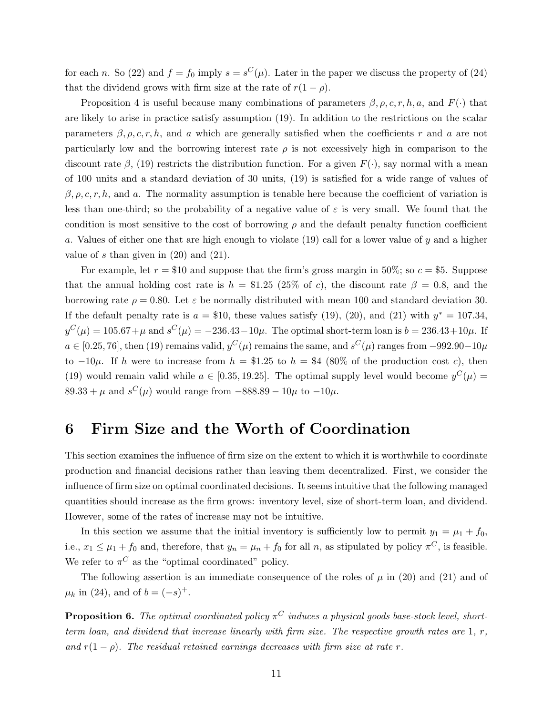for each n. So (22) and  $f = f_0$  imply  $s = s^C(\mu)$ . Later in the paper we discuss the property of (24) that the dividend grows with firm size at the rate of  $r(1 - \rho)$ .

Proposition 4 is useful because many combinations of parameters  $\beta, \rho, c, r, h, a$ , and  $F(\cdot)$  that are likely to arise in practice satisfy assumption (19). In addition to the restrictions on the scalar parameters  $\beta$ ,  $\rho$ ,  $c, r, h$ , and a which are generally satisfied when the coefficients r and a are not particularly low and the borrowing interest rate  $\rho$  is not excessively high in comparison to the discount rate  $\beta$ , (19) restricts the distribution function. For a given  $F(\cdot)$ , say normal with a mean of 100 units and a standard deviation of 30 units, (19) is satisfied for a wide range of values of  $\beta$ ,  $\rho$ ,  $c, r, h$ , and  $a$ . The normality assumption is tenable here because the coefficient of variation is less than one-third; so the probability of a negative value of  $\varepsilon$  is very small. We found that the condition is most sensitive to the cost of borrowing  $\rho$  and the default penalty function coefficient a. Values of either one that are high enough to violate (19) call for a lower value of y and a higher value of s than given in  $(20)$  and  $(21)$ .

For example, let  $r = $10$  and suppose that the firm's gross margin in 50%; so  $c = $5$ . Suppose that the annual holding cost rate is  $h = \$1.25$  (25% of c), the discount rate  $\beta = 0.8$ , and the borrowing rate  $\rho = 0.80$ . Let  $\varepsilon$  be normally distributed with mean 100 and standard deviation 30. If the default penalty rate is  $a = $10$ , these values satisfy (19), (20), and (21) with  $y^* = 107.34$ ,  $y^{C}(\mu) = 105.67 + \mu$  and  $s^{C}(\mu) = -236.43 - 10\mu$ . The optimal short-term loan is  $b = 236.43 + 10\mu$ . If  $a \in [0.25, 76]$ , then (19) remains valid,  $y^C(\mu)$  remains the same, and  $s^C(\mu)$  ranges from  $-992.90-10\mu$ to  $-10\mu$ . If h were to increase from  $h = $1.25$  to  $h = $4$  (80% of the production cost c), then (19) would remain valid while  $a \in [0.35, 19.25]$ . The optimal supply level would become  $y^C(\mu) =$  $89.33 + \mu$  and  $s^C(\mu)$  would range from  $-888.89 - 10\mu$  to  $-10\mu$ .

### 6 Firm Size and the Worth of Coordination

This section examines the influence of firm size on the extent to which it is worthwhile to coordinate production and financial decisions rather than leaving them decentralized. First, we consider the influence of firm size on optimal coordinated decisions. It seems intuitive that the following managed quantities should increase as the firm grows: inventory level, size of short-term loan, and dividend. However, some of the rates of increase may not be intuitive.

In this section we assume that the initial inventory is sufficiently low to permit  $y_1 = \mu_1 + f_0$ , i.e.,  $x_1 \leq \mu_1 + f_0$  and, therefore, that  $y_n = \mu_n + f_0$  for all n, as stipulated by policy  $\pi^C$ , is feasible. We refer to  $\pi^C$  as the "optimal coordinated" policy.

The following assertion is an immediate consequence of the roles of  $\mu$  in (20) and (21) and of  $\mu_k$  in (24), and of  $b = (-s)^+$ .

**Proposition 6.** The optimal coordinated policy  $\pi^C$  induces a physical goods base-stock level, shortterm loan, and dividend that increase linearly with firm size. The respective growth rates are  $1, r$ , and  $r(1 - \rho)$ . The residual retained earnings decreases with firm size at rate r.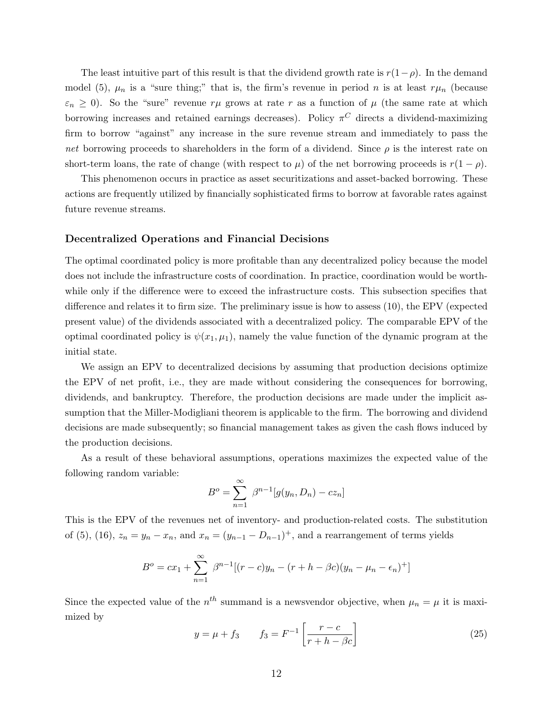The least intuitive part of this result is that the dividend growth rate is  $r(1-\rho)$ . In the demand model (5),  $\mu_n$  is a "sure thing;" that is, the firm's revenue in period n is at least  $r\mu_n$  (because  $\varepsilon_n \geq 0$ ). So the "sure" revenue  $r\mu$  grows at rate r as a function of  $\mu$  (the same rate at which borrowing increases and retained earnings decreases). Policy  $\pi$ <sup>C</sup> directs a dividend-maximizing firm to borrow "against" any increase in the sure revenue stream and immediately to pass the net borrowing proceeds to shareholders in the form of a dividend. Since  $\rho$  is the interest rate on short-term loans, the rate of change (with respect to  $\mu$ ) of the net borrowing proceeds is  $r(1 - \rho)$ .

This phenomenon occurs in practice as asset securitizations and asset-backed borrowing. These actions are frequently utilized by financially sophisticated firms to borrow at favorable rates against future revenue streams.

#### Decentralized Operations and Financial Decisions

The optimal coordinated policy is more profitable than any decentralized policy because the model does not include the infrastructure costs of coordination. In practice, coordination would be worthwhile only if the difference were to exceed the infrastructure costs. This subsection specifies that difference and relates it to firm size. The preliminary issue is how to assess (10), the EPV (expected present value) of the dividends associated with a decentralized policy. The comparable EPV of the optimal coordinated policy is  $\psi(x_1,\mu_1)$ , namely the value function of the dynamic program at the initial state.

We assign an EPV to decentralized decisions by assuming that production decisions optimize the EPV of net profit, i.e., they are made without considering the consequences for borrowing, dividends, and bankruptcy. Therefore, the production decisions are made under the implicit assumption that the Miller-Modigliani theorem is applicable to the firm. The borrowing and dividend decisions are made subsequently; so financial management takes as given the cash flows induced by the production decisions.

As a result of these behavioral assumptions, operations maximizes the expected value of the following random variable:

$$
B^{o} = \sum_{n=1}^{\infty} \beta^{n-1} [g(y_n, D_n) - c z_n]
$$

This is the EPV of the revenues net of inventory- and production-related costs. The substitution of (5), (16),  $z_n = y_n - x_n$ , and  $x_n = (y_{n-1} - D_{n-1})^+$ , and a rearrangement of terms yields

$$
B^{o} = cx_{1} + \sum_{n=1}^{\infty} \beta^{n-1} [(r - c)y_{n} - (r + h - \beta c)(y_{n} - \mu_{n} - \epsilon_{n})^{+}]
$$

Since the expected value of the  $n^{th}$  summand is a newsvendor objective, when  $\mu_n = \mu$  it is maximized by

$$
y = \mu + f_3 \qquad f_3 = F^{-1} \left[ \frac{r - c}{r + h - \beta c} \right] \tag{25}
$$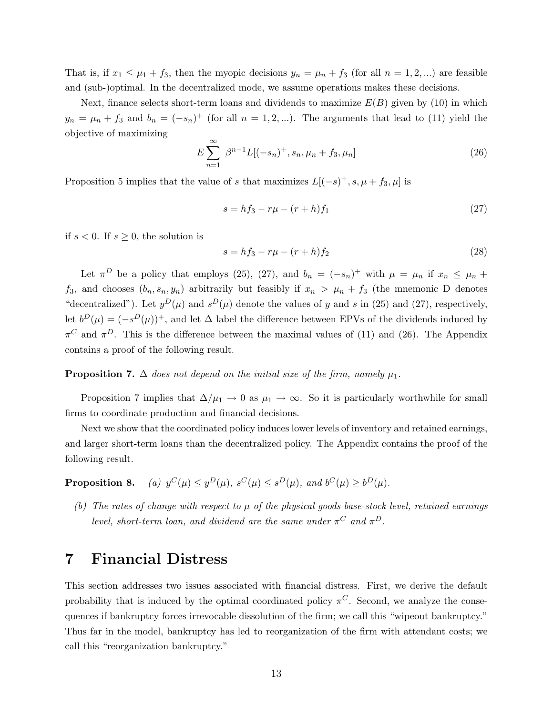That is, if  $x_1 \leq \mu_1 + f_3$ , then the myopic decisions  $y_n = \mu_n + f_3$  (for all  $n = 1, 2, ...$ ) are feasible and (sub-)optimal. In the decentralized mode, we assume operations makes these decisions.

Next, finance selects short-term loans and dividends to maximize  $E(B)$  given by (10) in which  $y_n = \mu_n + f_3$  and  $b_n = (-s_n)^+$  (for all  $n = 1, 2, ...$ ). The arguments that lead to (11) yield the objective of maximizing

$$
E\sum_{n=1}^{\infty} \beta^{n-1} L[(-s_n)^+, s_n, \mu_n + f_3, \mu_n]
$$
 (26)

Proposition 5 implies that the value of s that maximizes  $L[(-s)^{+}, s, \mu + f_3, \mu]$  is

$$
s = hf_3 - r\mu - (r+h)f_1 \tag{27}
$$

if  $s < 0$ . If  $s \geq 0$ , the solution is

$$
s = hf_3 - r\mu - (r+h)f_2
$$
\n(28)

Let  $\pi^{D}$  be a policy that employs (25), (27), and  $b_{n} = (-s_{n})^{+}$  with  $\mu = \mu_{n}$  if  $x_{n} \leq \mu_{n}$  +  $f_3$ , and chooses  $(b_n, s_n, y_n)$  arbitrarily but feasibly if  $x_n > \mu_n + f_3$  (the mnemonic D denotes "decentralized"). Let  $y^D(\mu)$  and  $s^D(\mu)$  denote the values of y and s in (25) and (27), respectively, let  $b^D(\mu) = (-s^D(\mu))^+$ , and let  $\Delta$  label the difference between EPVs of the dividends induced by  $\pi^C$  and  $\pi^D$ . This is the difference between the maximal values of (11) and (26). The Appendix contains a proof of the following result.

#### **Proposition 7.**  $\Delta$  does not depend on the initial size of the firm, namely  $\mu_1$ .

Proposition 7 implies that  $\Delta/\mu_1 \to 0$  as  $\mu_1 \to \infty$ . So it is particularly worthwhile for small firms to coordinate production and financial decisions.

Next we show that the coordinated policy induces lower levels of inventory and retained earnings, and larger short-term loans than the decentralized policy. The Appendix contains the proof of the following result.

Proposition 8.  $C(\mu) \leq y^D(\mu), s^C(\mu) \leq s^D(\mu), \text{ and } b^C(\mu) \geq b^D(\mu).$ 

(b) The rates of change with respect to  $\mu$  of the physical goods base-stock level, retained earnings level, short-term loan, and dividend are the same under  $\pi^C$  and  $\pi^D$ .

### 7 Financial Distress

This section addresses two issues associated with financial distress. First, we derive the default probability that is induced by the optimal coordinated policy  $\pi^C$ . Second, we analyze the consequences if bankruptcy forces irrevocable dissolution of the firm; we call this "wipeout bankruptcy." Thus far in the model, bankruptcy has led to reorganization of the firm with attendant costs; we call this "reorganization bankruptcy."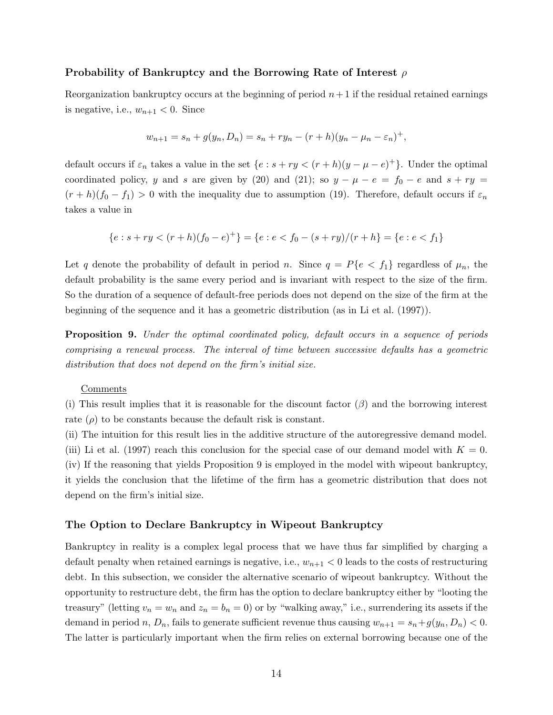#### Probability of Bankruptcy and the Borrowing Rate of Interest  $\rho$

Reorganization bankruptcy occurs at the beginning of period  $n+1$  if the residual retained earnings is negative, i.e.,  $w_{n+1} < 0$ . Since

$$
w_{n+1} = s_n + g(y_n, D_n) = s_n + ry_n - (r+h)(y_n - \mu_n - \varepsilon_n)^+,
$$

default occurs if  $\varepsilon_n$  takes a value in the set  $\{e : s + ry < (r+h)(y-\mu-e)^+\}$ . Under the optimal coordinated policy, y and s are given by (20) and (21); so  $y - \mu - e = f_0 - e$  and  $s + ry =$  $(r+h)(f_0 - f_1) > 0$  with the inequality due to assumption (19). Therefore, default occurs if  $\varepsilon_n$ takes a value in

$$
\{e:s+ry<(r+h)(f_0-e)^+\}=\{e:e
$$

Let q denote the probability of default in period n. Since  $q = P\{e \leq f_1\}$  regardless of  $\mu_n$ , the default probability is the same every period and is invariant with respect to the size of the firm. So the duration of a sequence of default-free periods does not depend on the size of the firm at the beginning of the sequence and it has a geometric distribution (as in Li et al. (1997)).

**Proposition 9.** Under the optimal coordinated policy, default occurs in a sequence of periods comprising a renewal process. The interval of time between successive defaults has a geometric distribution that does not depend on the firm's initial size.

#### Comments

(i) This result implies that it is reasonable for the discount factor  $(\beta)$  and the borrowing interest rate  $(\rho)$  to be constants because the default risk is constant.

(ii) The intuition for this result lies in the additive structure of the autoregressive demand model. (iii) Li et al. (1997) reach this conclusion for the special case of our demand model with  $K = 0$ . (iv) If the reasoning that yields Proposition 9 is employed in the model with wipeout bankruptcy, it yields the conclusion that the lifetime of the firm has a geometric distribution that does not depend on the firm's initial size.

#### The Option to Declare Bankruptcy in Wipeout Bankruptcy

Bankruptcy in reality is a complex legal process that we have thus far simplified by charging a default penalty when retained earnings is negative, i.e.,  $w_{n+1} < 0$  leads to the costs of restructuring debt. In this subsection, we consider the alternative scenario of wipeout bankruptcy. Without the opportunity to restructure debt, the firm has the option to declare bankruptcy either by "looting the treasury" (letting  $v_n = w_n$  and  $z_n = b_n = 0$ ) or by "walking away," i.e., surrendering its assets if the demand in period n,  $D_n$ , fails to generate sufficient revenue thus causing  $w_{n+1} = s_n + g(y_n, D_n) < 0$ . The latter is particularly important when the firm relies on external borrowing because one of the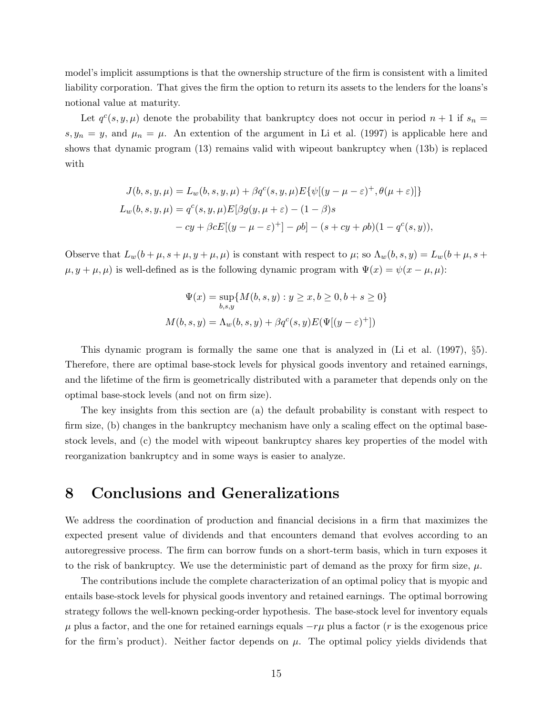model's implicit assumptions is that the ownership structure of the firm is consistent with a limited liability corporation. That gives the firm the option to return its assets to the lenders for the loans's notional value at maturity.

Let  $q^{c}(s, y, \mu)$  denote the probability that bankruptcy does not occur in period  $n + 1$  if  $s_n =$  $s, y_n = y$ , and  $\mu_n = \mu$ . An extention of the argument in Li et al. (1997) is applicable here and shows that dynamic program (13) remains valid with wipeout bankruptcy when (13b) is replaced with

$$
J(b, s, y, \mu) = L_w(b, s, y, \mu) + \beta q^{c}(s, y, \mu) E{\psi[(y - \mu - \varepsilon)^+, \theta(\mu + \varepsilon)]}
$$
  
\n
$$
L_w(b, s, y, \mu) = q^{c}(s, y, \mu) E[\beta g(y, \mu + \varepsilon) - (1 - \beta)s
$$
  
\n
$$
- cy + \beta c E[(y - \mu - \varepsilon)^+] - \rho b] - (s + cy + \rho b)(1 - q^{c}(s, y)),
$$

Observe that  $L_w(b + \mu, s + \mu, y + \mu, \mu)$  is constant with respect to  $\mu$ ; so  $\Lambda_w(b, s, y) = L_w(b + \mu, s + \mu, y + \mu, \mu)$  $\mu, y + \mu, \mu$  is well-defined as is the following dynamic program with  $\Psi(x) = \psi(x - \mu, \mu)$ :

$$
\Psi(x) = \sup_{b,s,y} \{ M(b,s,y) : y \ge x, b \ge 0, b+s \ge 0 \}
$$
  

$$
M(b,s,y) = \Lambda_w(b,s,y) + \beta q^c(s,y) E(\Psi[(y-\varepsilon)^+])
$$

This dynamic program is formally the same one that is analyzed in (Li et al. (1997), §5). Therefore, there are optimal base-stock levels for physical goods inventory and retained earnings, and the lifetime of the firm is geometrically distributed with a parameter that depends only on the optimal base-stock levels (and not on firm size).

The key insights from this section are (a) the default probability is constant with respect to firm size, (b) changes in the bankruptcy mechanism have only a scaling effect on the optimal basestock levels, and (c) the model with wipeout bankruptcy shares key properties of the model with reorganization bankruptcy and in some ways is easier to analyze.

### 8 Conclusions and Generalizations

We address the coordination of production and financial decisions in a firm that maximizes the expected present value of dividends and that encounters demand that evolves according to an autoregressive process. The firm can borrow funds on a short-term basis, which in turn exposes it to the risk of bankruptcy. We use the deterministic part of demand as the proxy for firm size,  $\mu$ .

The contributions include the complete characterization of an optimal policy that is myopic and entails base-stock levels for physical goods inventory and retained earnings. The optimal borrowing strategy follows the well-known pecking-order hypothesis. The base-stock level for inventory equals  $\mu$  plus a factor, and the one for retained earnings equals  $-r\mu$  plus a factor (r is the exogenous price for the firm's product). Neither factor depends on  $\mu$ . The optimal policy yields dividends that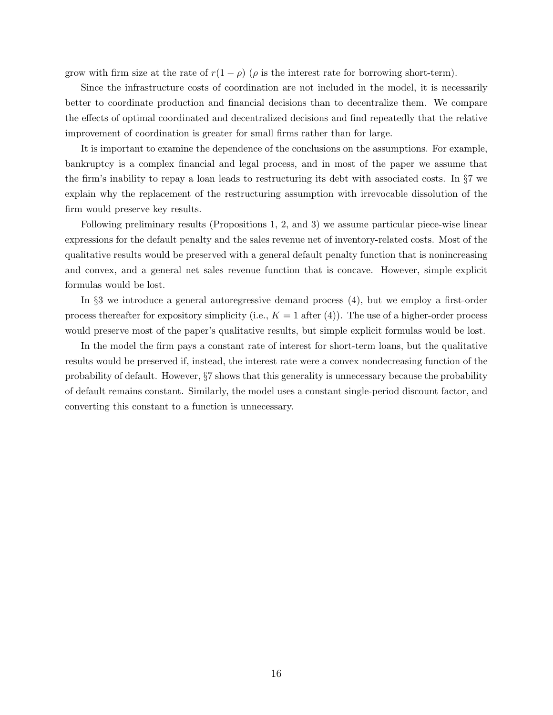grow with firm size at the rate of  $r(1 - \rho)$  ( $\rho$  is the interest rate for borrowing short-term).

Since the infrastructure costs of coordination are not included in the model, it is necessarily better to coordinate production and financial decisions than to decentralize them. We compare the effects of optimal coordinated and decentralized decisions and find repeatedly that the relative improvement of coordination is greater for small firms rather than for large.

It is important to examine the dependence of the conclusions on the assumptions. For example, bankruptcy is a complex financial and legal process, and in most of the paper we assume that the firm's inability to repay a loan leads to restructuring its debt with associated costs. In §7 we explain why the replacement of the restructuring assumption with irrevocable dissolution of the firm would preserve key results.

Following preliminary results (Propositions 1, 2, and 3) we assume particular piece-wise linear expressions for the default penalty and the sales revenue net of inventory-related costs. Most of the qualitative results would be preserved with a general default penalty function that is nonincreasing and convex, and a general net sales revenue function that is concave. However, simple explicit formulas would be lost.

In §3 we introduce a general autoregressive demand process (4), but we employ a first-order process thereafter for expository simplicity (i.e.,  $K = 1$  after (4)). The use of a higher-order process would preserve most of the paper's qualitative results, but simple explicit formulas would be lost.

In the model the firm pays a constant rate of interest for short-term loans, but the qualitative results would be preserved if, instead, the interest rate were a convex nondecreasing function of the probability of default. However, §7 shows that this generality is unnecessary because the probability of default remains constant. Similarly, the model uses a constant single-period discount factor, and converting this constant to a function is unnecessary.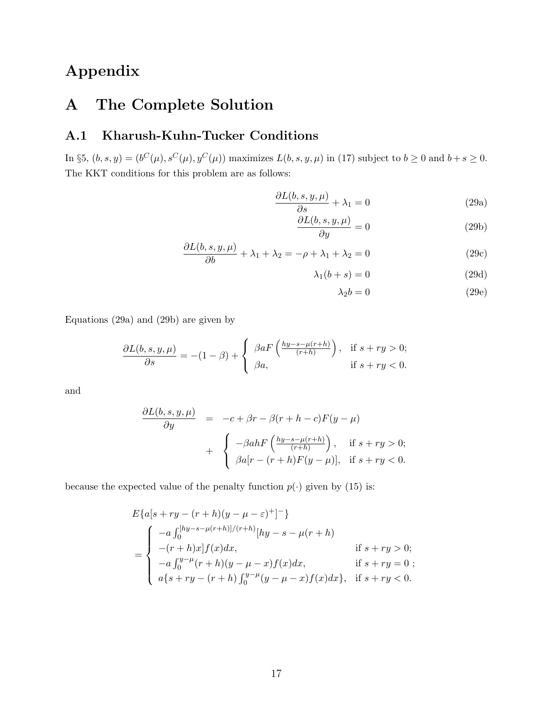# Appendix

# A The Complete Solution

### A.1 Kharush-Kuhn-Tucker Conditions

In §5,  $(b, s, y) = (b^C(\mu), s^C(\mu), y^C(\mu))$  maximizes  $L(b, s, y, \mu)$  in (17) subject to  $b \geq 0$  and  $b + s \geq 0$ . The KKT conditions for this problem are as follows:

$$
\frac{\partial L(b, s, y, \mu)}{\partial s} + \lambda_1 = 0
$$
\n(29a)

$$
\frac{\partial L(b, s, y, \mu)}{\partial y} = 0\tag{29b}
$$

$$
\frac{\partial L(b, s, y, \mu)}{\partial y} = 0
$$
 (29b)  

$$
\frac{\partial L(b, s, y, \mu)}{\partial b} + \lambda_1 + \lambda_2 = -\rho + \lambda_1 + \lambda_2 = 0
$$
 (29c)

$$
\lambda_1(b+s) = 0 \tag{29d}
$$

$$
\lambda_2 b = 0 \tag{29e}
$$

Equations (29a) and (29b) are given by

$$
\frac{\partial L(b,s,y,\mu)}{\partial s} = -(1-\beta) + \begin{cases} \beta a F\left(\frac{hy-s-\mu(r+h)}{(r+h)}\right), & \text{if } s+ry > 0; \\ \beta a, & \text{if } s+ry < 0. \end{cases}
$$

and

$$
\frac{\partial L(b, s, y, \mu)}{\partial y} = -c + \beta r - \beta (r + h - c) F(y - \mu)
$$

$$
+ \begin{cases} -\beta a h F\left(\frac{hy - s - \mu(r + h)}{(r + h)}\right), & \text{if } s + ry > 0; \\ \beta a [r - (r + h) F(y - \mu)], & \text{if } s + ry < 0. \end{cases}
$$

because the expected value of the penalty function  $p(\cdot)$  given by (15) is:

$$
E\{a[s+ry - (r+h)(y - \mu - \varepsilon)^+]^{-}\}
$$
  
= 
$$
\begin{cases}\n-a \int_0^{[hy-s-\mu(r+h)]/(r+h)} [hy - s - \mu(r+h)] & \text{if } s + ry > 0; \\
-(r+h)x]f(x)dx, & \text{if } s + ry > 0; \\
-a \int_0^{y-\mu}(r+h)(y - \mu - x)f(x)dx, & \text{if } s + ry = 0; \\
a\{s+ry - (r+h)\int_0^{y-\mu}(y - \mu - x)f(x)dx\}, & \text{if } s + ry < 0.\n\end{cases}
$$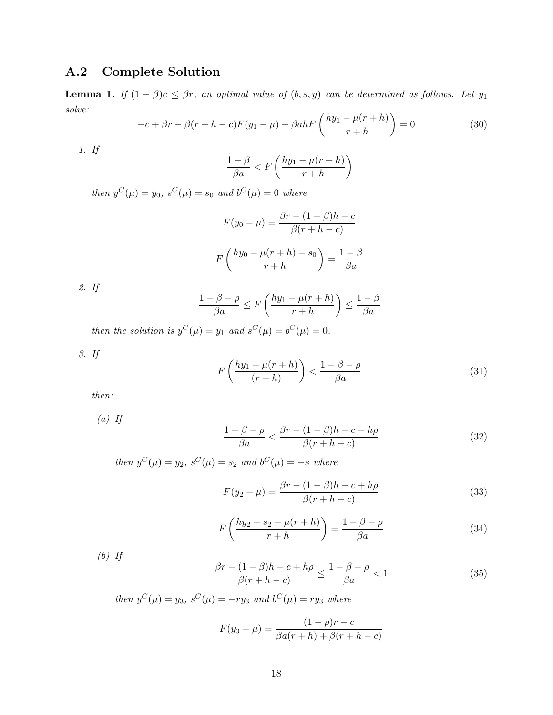### A.2 Complete Solution

**Lemma 1.** If  $(1 - \beta)c \leq \beta r$ , an optimal value of  $(b, s, y)$  can be determined as follows. Let  $y_1$ solve:

$$
-c + \beta r - \beta (r + h - c)F(y_1 - \mu) - \beta ah F\left(\frac{hy_1 - \mu(r + h)}{r + h}\right) = 0
$$
\n(30)

1. If

$$
\frac{1-\beta}{\beta a} < F\left(\frac{hy_1 - \mu(r+h)}{r+h}\right)
$$

then  $y^C(\mu) = y_0$ ,  $s^C(\mu) = s_0$  and  $b^C(\mu) = 0$  where

$$
F(y_0 - \mu) = \frac{\beta r - (1 - \beta)h - c}{\beta(r + h - c)}
$$

$$
F\left(\frac{hy_0 - \mu(r + h) - s_0}{r + h}\right) = \frac{1 - \beta}{\beta a}
$$

2. If

$$
\frac{1-\beta-\rho}{\beta a} \le F\left(\frac{hy_1-\mu(r+h)}{r+h}\right) \le \frac{1-\beta}{\beta a}
$$

then the solution is  $y^C(\mu) = y_1$  and  $s^C(\mu) = b^C(\mu) = 0$ .

3. If

$$
F\left(\frac{hy_1 - \mu(r+h)}{(r+h)}\right) < \frac{1 - \beta - \rho}{\beta a} \tag{31}
$$

then:

 $(a)$  If

$$
\frac{1-\beta-\rho}{\beta a} < \frac{\beta r - (1-\beta)h - c + h\rho}{\beta(r+h-c)}\tag{32}
$$

then  $y^C(\mu) = y_2$ ,  $s^C(\mu) = s_2$  and  $b^C(\mu) = -s$  where

$$
F(y_2 - \mu) = \frac{\beta r - (1 - \beta)h - c + h\rho}{\beta(r + h - c)}
$$
(33)

$$
F\left(\frac{hy_2 - s_2 - \mu(r+h)}{r+h}\right) = \frac{1-\beta-\rho}{\beta a} \tag{34}
$$

 $(b)$  If

$$
\frac{\beta r - (1 - \beta)h - c + h\rho}{\beta(r + h - c)} \le \frac{1 - \beta - \rho}{\beta a} < 1 \tag{35}
$$

then  $y^C(\mu) = y_3$ ,  $s^C(\mu) = -ry_3$  and  $b^C(\mu) = ry_3$  where

$$
F(y_3 - \mu) = \frac{(1 - \rho)r - c}{\beta a(r + h) + \beta(r + h - c)}
$$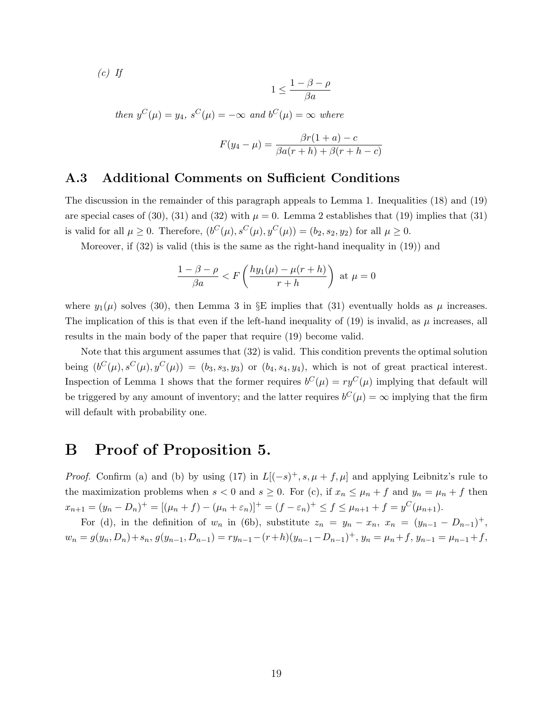$(c)$  If

$$
1\leq \frac{1-\beta-\rho}{\beta a}
$$

then  $y^C(\mu) = y_4$ ,  $s^C(\mu) = -\infty$  and  $b^C(\mu) = \infty$  where

$$
F(y_4 - \mu) = \frac{\beta r (1 + a) - c}{\beta a (r + h) + \beta (r + h - c)}
$$

#### A.3 Additional Comments on Sufficient Conditions

The discussion in the remainder of this paragraph appeals to Lemma 1. Inequalities (18) and (19) are special cases of (30), (31) and (32) with  $\mu = 0$ . Lemma 2 establishes that (19) implies that (31) is valid for all  $\mu \geq 0$ . Therefore,  $(b^C(\mu), s^C(\mu), y^C(\mu)) = (b_2, s_2, y_2)$  for all  $\mu \geq 0$ .

Moreover, if  $(32)$  is valid (this is the same as the right-hand inequality in  $(19)$ ) and

$$
\frac{1-\beta-\rho}{\beta a} < F\left(\frac{hy_1(\mu)-\mu(r+h)}{r+h}\right) \text{ at } \mu = 0
$$

where  $y_1(\mu)$  solves (30), then Lemma 3 in §E implies that (31) eventually holds as  $\mu$  increases. The implication of this is that even if the left-hand inequality of (19) is invalid, as  $\mu$  increases, all results in the main body of the paper that require (19) become valid.

Note that this argument assumes that (32) is valid. This condition prevents the optimal solution being  $(b^C(\mu), s^C(\mu), y^C(\mu)) = (b_3, s_3, y_3)$  or  $(b_4, s_4, y_4)$ , which is not of great practical interest. Inspection of Lemma 1 shows that the former requires  $b^{C}(\mu) = ry^{C}(\mu)$  implying that default will be triggered by any amount of inventory; and the latter requires  $b^C(\mu) = \infty$  implying that the firm will default with probability one.

### B Proof of Proposition 5.

*Proof.* Confirm (a) and (b) by using (17) in  $L[(-s)^{+}, s, \mu + f, \mu]$  and applying Leibnitz's rule to the maximization problems when  $s < 0$  and  $s \ge 0$ . For (c), if  $x_n \le \mu_n + f$  and  $y_n = \mu_n + f$  then  $x_{n+1} = (y_n - D_n)^+ = [(\mu_n + f) - (\mu_n + \varepsilon_n)]^+ = (f - \varepsilon_n)^+ \le f \le \mu_{n+1} + f = y^C(\mu_{n+1}).$ 

For (d), in the definition of  $w_n$  in (6b), substitute  $z_n = y_n - x_n$ ,  $x_n = (y_{n-1} - D_{n-1})^+$ ,  $w_n = g(y_n, D_n) + s_n$ ,  $g(y_{n-1}, D_{n-1}) = ry_{n-1} - (r+h)(y_{n-1} - D_{n-1})^+$ ,  $y_n = \mu_n + f$ ,  $y_{n-1} = \mu_{n-1} + f$ ,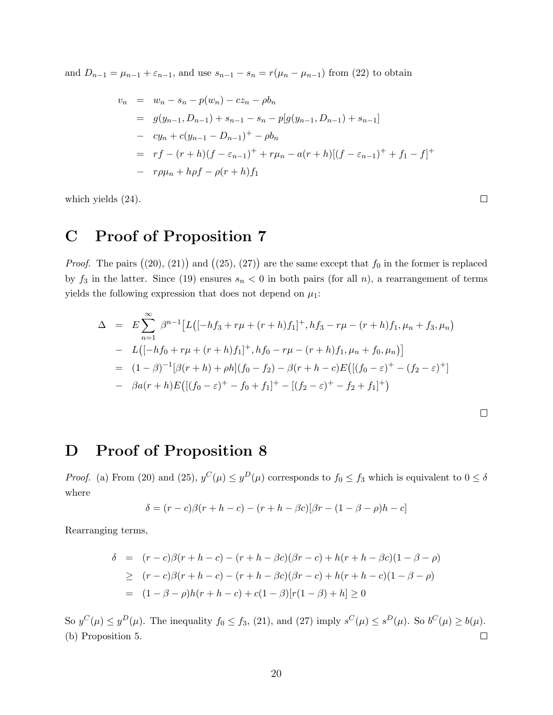and  $D_{n-1} = \mu_{n-1} + \varepsilon_{n-1}$ , and use  $s_{n-1} - s_n = r(\mu_n - \mu_{n-1})$  from (22) to obtain

$$
v_n = w_n - s_n - p(w_n) - cz_n - \rho b_n
$$
  
=  $g(y_{n-1}, D_{n-1}) + s_{n-1} - s_n - p[g(y_{n-1}, D_{n-1}) + s_{n-1}]$   
-  $cy_n + c(y_{n-1} - D_{n-1})^+ - \rho b_n$   
=  $rf - (r + h)(f - \varepsilon_{n-1})^+ + r\mu_n - a(r + h)[(f - \varepsilon_{n-1})^+ + f_1 - f]^+$   
-  $r\rho\mu_n + h\rho f - \rho(r + h)f_1$ 

which yields (24).

# C Proof of Proposition 7

*Proof.* The pairs  $((20), (21))$  and  $((25), (27))$  are the same except that  $f_0$  in the former is replaced by  $f_3$  in the latter. Since (19) ensures  $s_n < 0$  in both pairs (for all n), a rearrangement of terms yields the following expression that does not depend on  $\mu_1$ :

$$
\Delta = E \sum_{n=1}^{\infty} \beta^{n-1} \left[ L \left( [-hf_3 + r\mu + (r+h)f_1]^+, hf_3 - r\mu - (r+h)f_1, \mu_n + f_3, \mu_n \right) \right]
$$
  
\n
$$
- L \left( [-hf_0 + r\mu + (r+h)f_1]^+, hf_0 - r\mu - (r+h)f_1, \mu_n + f_0, \mu_n \right) \right]
$$
  
\n
$$
= (1 - \beta)^{-1} [\beta(r+h) + \rho h] (f_0 - f_2) - \beta(r+h-c) E \left[ \left( (f_0 - \varepsilon)^+ - (f_2 - \varepsilon)^+ \right] \right]
$$
  
\n
$$
- \beta a(r+h) E \left[ \left[ (f_0 - \varepsilon)^+ - f_0 + f_1 \right]^+ - \left[ (f_2 - \varepsilon)^+ - f_2 + f_1 \right]^+ \right)
$$

### D Proof of Proposition 8

*Proof.* (a) From (20) and (25),  $y^C(\mu) \le y^D(\mu)$  corresponds to  $f_0 \le f_3$  which is equivalent to  $0 \le \delta$ where

$$
\delta = (r - c)\beta(r + h - c) - (r + h - \beta c)[\beta r - (1 - \beta - \rho)h - c]
$$

Rearranging terms,

$$
\delta = (r - c)\beta(r + h - c) - (r + h - \beta c)(\beta r - c) + h(r + h - \beta c)(1 - \beta - \rho)
$$
  
\n
$$
\geq (r - c)\beta(r + h - c) - (r + h - \beta c)(\beta r - c) + h(r + h - c)(1 - \beta - \rho)
$$
  
\n
$$
= (1 - \beta - \rho)h(r + h - c) + c(1 - \beta)[r(1 - \beta) + h] \geq 0
$$

So  $y^C(\mu) \le y^D(\mu)$ . The inequality  $f_0 \le f_3$ , (21), and (27) imply  $s^C(\mu) \le s^D(\mu)$ . So  $b^C(\mu) \ge b(\mu)$ . (b) Proposition 5.  $\Box$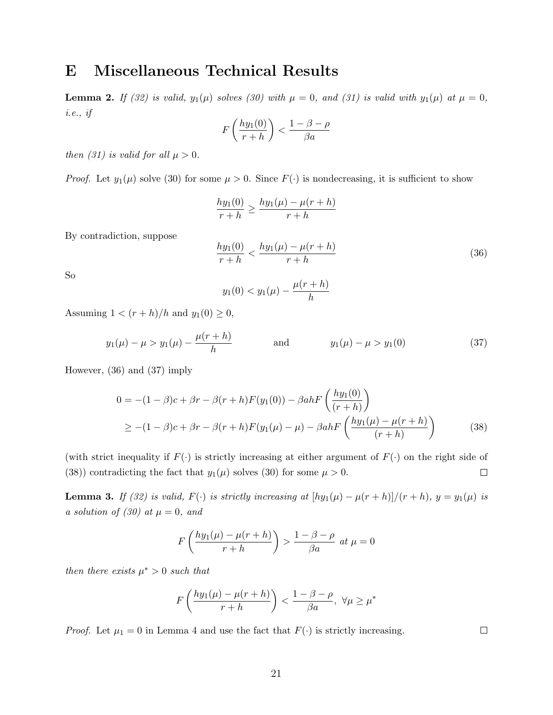### E Miscellaneous Technical Results

**Lemma 2.** If (32) is valid,  $y_1(\mu)$  solves (30) with  $\mu = 0$ , and (31) is valid with  $y_1(\mu)$  at  $\mu = 0$ , i.e., if

$$
F\left(\frac{hy_1(0)}{r+h}\right) < \frac{1-\beta-\rho}{\beta a}
$$

then (31) is valid for all  $\mu > 0$ .

*Proof.* Let  $y_1(\mu)$  solve (30) for some  $\mu > 0$ . Since  $F(\cdot)$  is nondecreasing, it is sufficient to show

$$
\frac{hy_1(0)}{r+h} \ge \frac{hy_1(\mu) - \mu(r+h)}{r+h}
$$

By contradiction, suppose

$$
\frac{hy_1(0)}{r+h} < \frac{hy_1(\mu) - \mu(r+h)}{r+h} \tag{36}
$$

So

$$
y_1(0) < y_1(\mu) - \frac{\mu(r+h)}{h}
$$

Assuming  $1 < (r+h)/h$  and  $y_1(0) \geq 0$ ,

$$
y_1(\mu) - \mu > y_1(\mu) - \frac{\mu(r+h)}{h}
$$
 and  $y_1(\mu) - \mu > y_1(0)$  (37)

However, (36) and (37) imply

$$
0 = -(1 - \beta)c + \beta r - \beta(r + h)F(y_1(0)) - \beta ahF\left(\frac{hy_1(0)}{(r + h)}\right)
$$
  
\n
$$
\geq -(1 - \beta)c + \beta r - \beta(r + h)F(y_1(\mu) - \mu) - \beta ahF\left(\frac{hy_1(\mu) - \mu(r + h)}{(r + h)}\right)
$$
(38)

(with strict inequality if  $F(\cdot)$  is strictly increasing at either argument of  $F(\cdot)$  on the right side of (38)) contradicting the fact that  $y_1(\mu)$  solves (30) for some  $\mu > 0$ .  $\Box$ 

**Lemma 3.** If (32) is valid, F(·) is strictly increasing at  $[hy_1(\mu) - \mu(r+h)]/(r+h)$ ,  $y = y_1(\mu)$  is a solution of (30) at  $\mu = 0$ , and

$$
F\left(\frac{hy_1(\mu) - \mu(r+h)}{r+h}\right) > \frac{1-\beta-\rho}{\beta a} \text{ at } \mu = 0
$$

then there exists  $\mu^* > 0$  such that

$$
F\left(\frac{hy_1(\mu) - \mu(r+h)}{r+h}\right) < \frac{1 - \beta - \rho}{\beta a}, \ \forall \mu \ge \mu^*
$$

*Proof.* Let  $\mu_1 = 0$  in Lemma 4 and use the fact that  $F(\cdot)$  is strictly increasing.

 $\Box$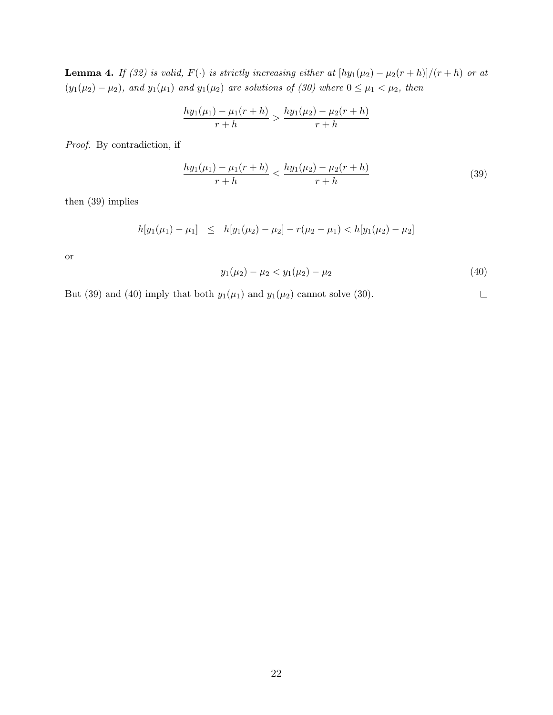**Lemma 4.** If (32) is valid,  $F(\cdot)$  is strictly increasing either at  $[hy_1(\mu_2) - \mu_2(r+h)]/(r+h)$  or at  $(y_1(\mu_2) - \mu_2)$ , and  $y_1(\mu_1)$  and  $y_1(\mu_2)$  are solutions of (30) where  $0 \leq \mu_1 < \mu_2$ , then

$$
\frac{hy_1(\mu_1) - \mu_1(r+h)}{r+h} > \frac{hy_1(\mu_2) - \mu_2(r+h)}{r+h}
$$

Proof. By contradiction, if

$$
\frac{hy_1(\mu_1) - \mu_1(r+h)}{r+h} \le \frac{hy_1(\mu_2) - \mu_2(r+h)}{r+h}
$$
\n(39)

then (39) implies

$$
h[y_1(\mu_1) - \mu_1] \leq h[y_1(\mu_2) - \mu_2] - r(\mu_2 - \mu_1) < h[y_1(\mu_2) - \mu_2]
$$

or

$$
y_1(\mu_2) - \mu_2 < y_1(\mu_2) - \mu_2 \tag{40}
$$

But (39) and (40) imply that both  $y_1(\mu_1)$  and  $y_1(\mu_2)$  cannot solve (30).  $\Box$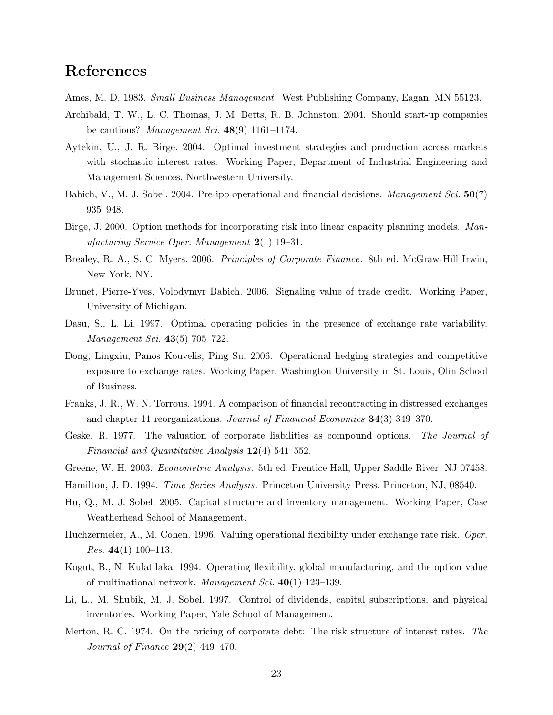### References

Ames, M. D. 1983. *Small Business Management*. West Publishing Company, Eagan, MN 55123.

- Archibald, T. W., L. C. Thomas, J. M. Betts, R. B. Johnston. 2004. Should start-up companies be cautious? Management Sci.  $48(9)$  1161–1174.
- Aytekin, U., J. R. Birge. 2004. Optimal investment strategies and production across markets with stochastic interest rates. Working Paper, Department of Industrial Engineering and Management Sciences, Northwestern University.
- Babich, V., M. J. Sobel. 2004. Pre-ipo operational and financial decisions. *Management Sci.* 50(7) 935–948.
- Birge, J. 2000. Option methods for incorporating risk into linear capacity planning models. Manufacturing Service Oper. Management 2(1) 19–31.
- Brealey, R. A., S. C. Myers. 2006. *Principles of Corporate Finance*. 8th ed. McGraw-Hill Irwin, New York, NY.
- Brunet, Pierre-Yves, Volodymyr Babich. 2006. Signaling value of trade credit. Working Paper, University of Michigan.
- Dasu, S., L. Li. 1997. Optimal operating policies in the presence of exchange rate variability. Management Sci. 43(5) 705–722.
- Dong, Lingxiu, Panos Kouvelis, Ping Su. 2006. Operational hedging strategies and competitive exposure to exchange rates. Working Paper, Washington University in St. Louis, Olin School of Business.
- Franks, J. R., W. N. Torrous. 1994. A comparison of financial recontracting in distressed exchanges and chapter 11 reorganizations. Journal of Financial Economics 34(3) 349–370.
- Geske, R. 1977. The valuation of corporate liabilities as compound options. The Journal of Financial and Quantitative Analysis  $12(4)$  541–552.
- Greene, W. H. 2003. *Econometric Analysis*. 5th ed. Prentice Hall, Upper Saddle River, NJ 07458.
- Hamilton, J. D. 1994. Time Series Analysis. Princeton University Press, Princeton, NJ, 08540.
- Hu, Q., M. J. Sobel. 2005. Capital structure and inventory management. Working Paper, Case Weatherhead School of Management.
- Huchzermeier, A., M. Cohen. 1996. Valuing operational flexibility under exchange rate risk. Oper. *Res.* 44(1) 100–113.
- Kogut, B., N. Kulatilaka. 1994. Operating flexibility, global manufacturing, and the option value of multinational network. *Management Sci.*  $40(1)$  123–139.
- Li, L., M. Shubik, M. J. Sobel. 1997. Control of dividends, capital subscriptions, and physical inventories. Working Paper, Yale School of Management.
- Merton, R. C. 1974. On the pricing of corporate debt: The risk structure of interest rates. The Journal of Finance  $29(2)$  449-470.